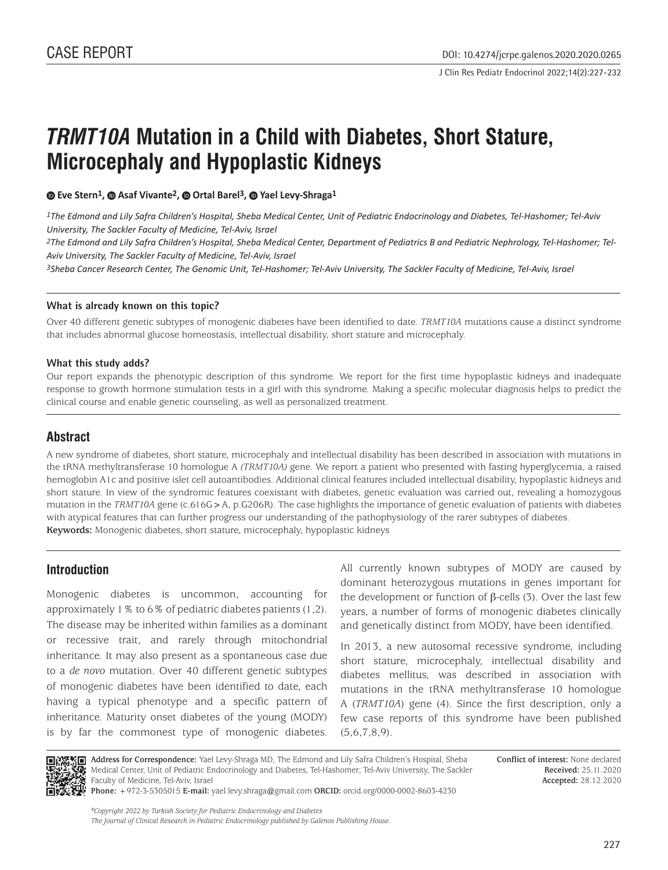# *TRMT10A* **Mutation in a Child with Diabetes, Short Stature, Microcephaly and Hypoplastic Kidneys**

**Eve Stern1,Asaf Vivante2, Ortal Barel3,Yael Levy-Shraga1**

*1The Edmond and Lily Safra Children's Hospital, Sheba Medical Center, Unit of Pediatric Endocrinology and Diabetes, Tel-Hashomer; Tel-Aviv University, The Sackler Faculty of Medicine, Tel-Aviv, Israel*

*2The Edmond and Lily Safra Children's Hospital, Sheba Medical Center, Department of Pediatrics B and Pediatric Nephrology, Tel-Hashomer; Tel-Aviv University, The Sackler Faculty of Medicine, Tel-Aviv, Israel*

*3Sheba Cancer Research Center, The Genomic Unit, Tel-Hashomer; Tel-Aviv University, The Sackler Faculty of Medicine, Tel-Aviv, Israel*

#### **What is already known on this topic?**

Over 40 different genetic subtypes of monogenic diabetes have been identified to date. *TRMT10A* mutations cause a distinct syndrome that includes abnormal glucose homeostasis, intellectual disability, short stature and microcephaly.

#### **What this study adds?**

Our report expands the phenotypic description of this syndrome. We report for the first time hypoplastic kidneys and inadequate response to growth hormone stimulation tests in a girl with this syndrome. Making a specific molecular diagnosis helps to predict the clinical course and enable genetic counseling, as well as personalized treatment.

#### **Abstract**

A new syndrome of diabetes, short stature, microcephaly and intellectual disability has been described in association with mutations in the tRNA methyltransferase 10 homologue A *(TRMT10A)* gene. We report a patient who presented with fasting hyperglycemia, a raised hemoglobin A1c and positive islet cell autoantibodies. Additional clinical features included intellectual disability, hypoplastic kidneys and short stature. In view of the syndromic features coexistant with diabetes, genetic evaluation was carried out, revealing a homozygous mutation in the *TRMT10A* gene (c.616G>A, p.G206R). The case highlights the importance of genetic evaluation of patients with diabetes with atypical features that can further progress our understanding of the pathophysiology of the rarer subtypes of diabetes. **Keywords:** Monogenic diabetes, short stature, microcephaly, hypoplastic kidneys

### **Introduction**

Monogenic diabetes is uncommon, accounting for approximately 1% to 6% of pediatric diabetes patients (1,2). The disease may be inherited within families as a dominant or recessive trait, and rarely through mitochondrial inheritance. It may also present as a spontaneous case due to a *de novo* mutation. Over 40 different genetic subtypes of monogenic diabetes have been identified to date, each having a typical phenotype and a specific pattern of inheritance. Maturity onset diabetes of the young (MODY) is by far the commonest type of monogenic diabetes.

All currently known subtypes of MODY are caused by dominant heterozygous mutations in genes important for the development or function of β-cells (3). Over the last few years, a number of forms of monogenic diabetes clinically and genetically distinct from MODY, have been identified.

In 2013, a new autosomal recessive syndrome, including short stature, microcephaly, intellectual disability and diabetes mellitus, was described in association with mutations in the tRNA methyltransferase 10 homologue A (*TRMT10A*) gene (4). Since the first description, only a few case reports of this syndrome have been published (5,6,7,8,9).



**Address for Correspondence:** Yael Levy-Shraga MD, The Edmond and Lily Safra Children's Hospital, Sheba Medical Center, Unit of Pediatric Endocrinology and Diabetes, Tel-Hashomer; Tel-Aviv University, The Sackler Faculty of Medicine, Tel-Aviv, Israel

**Conflict of interest:** None declared **Received:** 25.11.2020 **Accepted:** 28.12.2020

**Phone:** +972-3-5305015 **E-mail:** yael.levy.shraga@gmail.com **ORCID:** orcid.org/0000-0002-8603-4230

*©Copyright 2022 by Turkish Society for Pediatric Endocrinology and Diabetes The Journal of Clinical Research in Pediatric Endocrinology published by Galenos Publishing House.*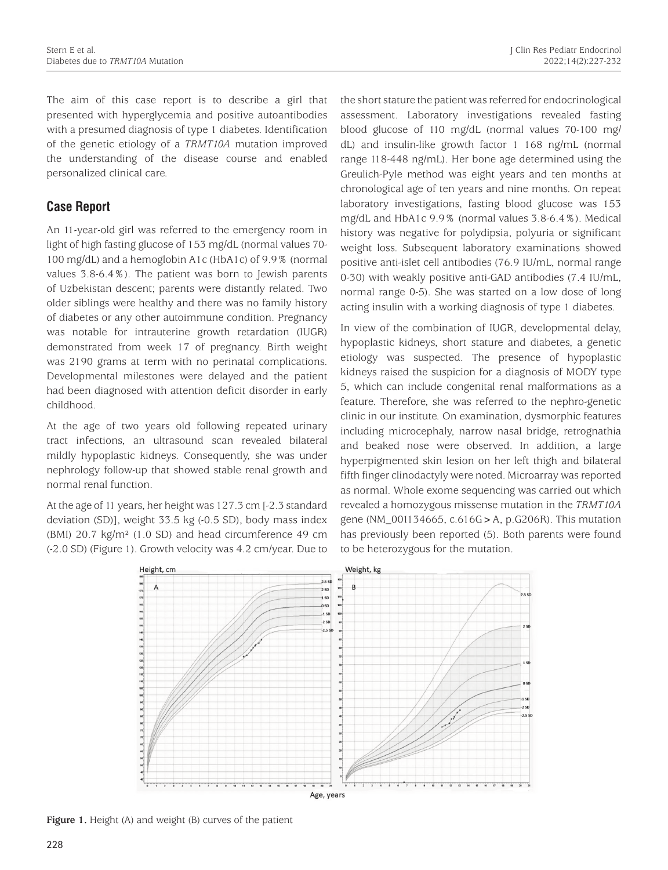The aim of this case report is to describe a girl that presented with hyperglycemia and positive autoantibodies with a presumed diagnosis of type 1 diabetes. Identification of the genetic etiology of a *TRMT10A* mutation improved the understanding of the disease course and enabled personalized clinical care.

# **Case Report**

An 11-year-old girl was referred to the emergency room in light of high fasting glucose of 153 mg/dL (normal values 70- 100 mg/dL) and a hemoglobin A1c (HbA1c) of 9.9% (normal values 3.8-6.4%). The patient was born to Jewish parents of Uzbekistan descent; parents were distantly related. Two older siblings were healthy and there was no family history of diabetes or any other autoimmune condition. Pregnancy was notable for intrauterine growth retardation (IUGR) demonstrated from week 17 of pregnancy. Birth weight was 2190 grams at term with no perinatal complications. Developmental milestones were delayed and the patient had been diagnosed with attention deficit disorder in early childhood.

At the age of two years old following repeated urinary tract infections, an ultrasound scan revealed bilateral mildly hypoplastic kidneys. Consequently, she was under nephrology follow-up that showed stable renal growth and normal renal function.

At the age of 11 years, her height was 127.3 cm [-2.3 standard deviation (SD)], weight 33.5 kg (-0.5 SD), body mass index (BMI) 20.7 kg/m² (1.0 SD) and head circumference 49 cm (-2.0 SD) (Figure 1). Growth velocity was 4.2 cm/year. Due to the short stature the patient was referred for endocrinological assessment. Laboratory investigations revealed fasting blood glucose of 110 mg/dL (normal values 70-100 mg/ dL) and insulin-like growth factor 1 168 ng/mL (normal range 118-448 ng/mL). Her bone age determined using the Greulich-Pyle method was eight years and ten months at chronological age of ten years and nine months. On repeat laboratory investigations, fasting blood glucose was 153 mg/dL and HbA1c 9.9% (normal values 3.8-6.4%). Medical history was negative for polydipsia, polyuria or significant weight loss. Subsequent laboratory examinations showed positive anti-islet cell antibodies (76.9 IU/mL, normal range 0-30) with weakly positive anti-GAD antibodies (7.4 IU/mL, normal range 0-5). She was started on a low dose of long acting insulin with a working diagnosis of type 1 diabetes.

In view of the combination of IUGR, developmental delay, hypoplastic kidneys, short stature and diabetes, a genetic etiology was suspected. The presence of hypoplastic kidneys raised the suspicion for a diagnosis of MODY type 5, which can include congenital renal malformations as a feature. Therefore, she was referred to the nephro-genetic clinic in our institute. On examination, dysmorphic features including microcephaly, narrow nasal bridge, retrognathia and beaked nose were observed. In addition, a large hyperpigmented skin lesion on her left thigh and bilateral fifth finger clinodactyly were noted. Microarray was reported as normal. Whole exome sequencing was carried out which revealed a homozygous missense mutation in the *TRMT10A* gene (NM\_001134665, c.616G>A, p.G206R). This mutation has previously been reported (5). Both parents were found to be heterozygous for the mutation.



**Figure 1.** Height (A) and weight (B) curves of the patient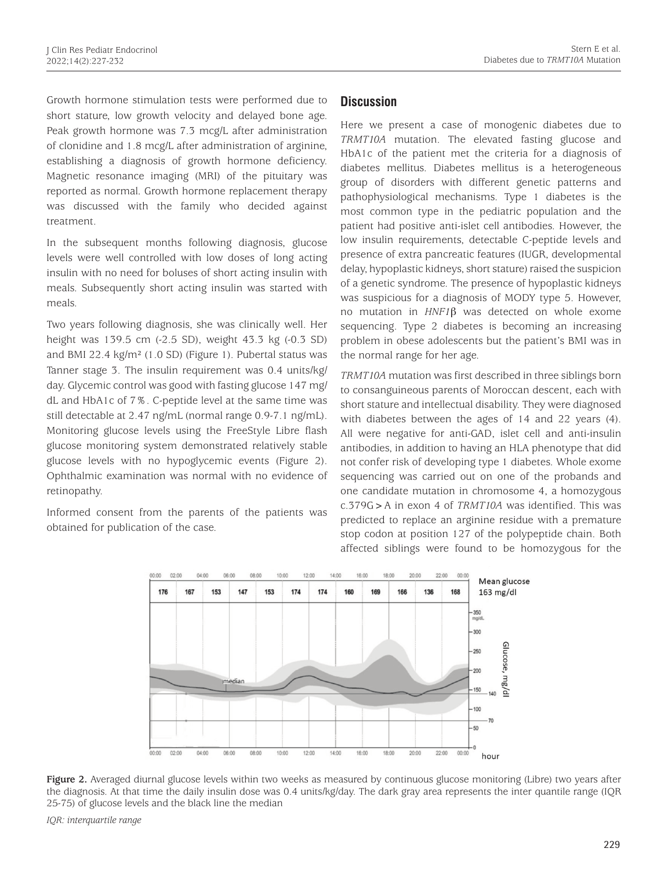Growth hormone stimulation tests were performed due to short stature, low growth velocity and delayed bone age. Peak growth hormone was 7.3 mcg/L after administration of clonidine and 1.8 mcg/L after administration of arginine, establishing a diagnosis of growth hormone deficiency. Magnetic resonance imaging (MRI) of the pituitary was reported as normal*.* Growth hormone replacement therapy was discussed with the family who decided against treatment.

In the subsequent months following diagnosis, glucose levels were well controlled with low doses of long acting insulin with no need for boluses of short acting insulin with meals. Subsequently short acting insulin was started with meals.

Two years following diagnosis, she was clinically well. Her height was 139.5 cm (-2.5 SD), weight 43.3 kg (-0.3 SD) and BMI 22.4 kg/m² (1.0 SD) (Figure 1). Pubertal status was Tanner stage 3. The insulin requirement was 0.4 units/kg/ day. Glycemic control was good with fasting glucose 147 mg/ dL and HbA1c of 7%. C-peptide level at the same time was still detectable at 2.47 ng/mL (normal range 0.9-7.1 ng/mL). Monitoring glucose levels using the FreeStyle Libre flash glucose monitoring system demonstrated relatively stable glucose levels with no hypoglycemic events (Figure 2). Ophthalmic examination was normal with no evidence of retinopathy.

Informed consent from the parents of the patients was obtained for publication of the case.

## **Discussion**

Here we present a case of monogenic diabetes due to *TRMT10A* mutation. The elevated fasting glucose and HbA1c of the patient met the criteria for a diagnosis of diabetes mellitus. Diabetes mellitus is a heterogeneous group of disorders with different genetic patterns and pathophysiological mechanisms. Type 1 diabetes is the most common type in the pediatric population and the patient had positive anti-islet cell antibodies. However, the low insulin requirements, detectable C-peptide levels and presence of extra pancreatic features (IUGR, developmental delay, hypoplastic kidneys, short stature) raised the suspicion of a genetic syndrome. The presence of hypoplastic kidneys was suspicious for a diagnosis of MODY type 5. However, no mutation in *HNF1*β was detected on whole exome sequencing. Type 2 diabetes is becoming an increasing problem in obese adolescents but the patient's BMI was in the normal range for her age.

*TRMT10A* mutation was first described in three siblings born to consanguineous parents of Moroccan descent, each with short stature and intellectual disability. They were diagnosed with diabetes between the ages of 14 and 22 years (4). All were negative for anti-GAD, islet cell and anti-insulin antibodies, in addition to having an HLA phenotype that did not confer risk of developing type 1 diabetes. Whole exome sequencing was carried out on one of the probands and one candidate mutation in chromosome 4, a homozygous c.379G>A in exon 4 of *TRMT10A* was identified. This was predicted to replace an arginine residue with a premature stop codon at position 127 of the polypeptide chain. Both affected siblings were found to be homozygous for the



**Figure 2.** Averaged diurnal glucose levels within two weeks as measured by continuous glucose monitoring (Libre) two years after the diagnosis. At that time the daily insulin dose was 0.4 units/kg/day. The dark gray area represents the inter quantile range (IQR 25-75) of glucose levels and the black line the median

*IQR: interquartile range*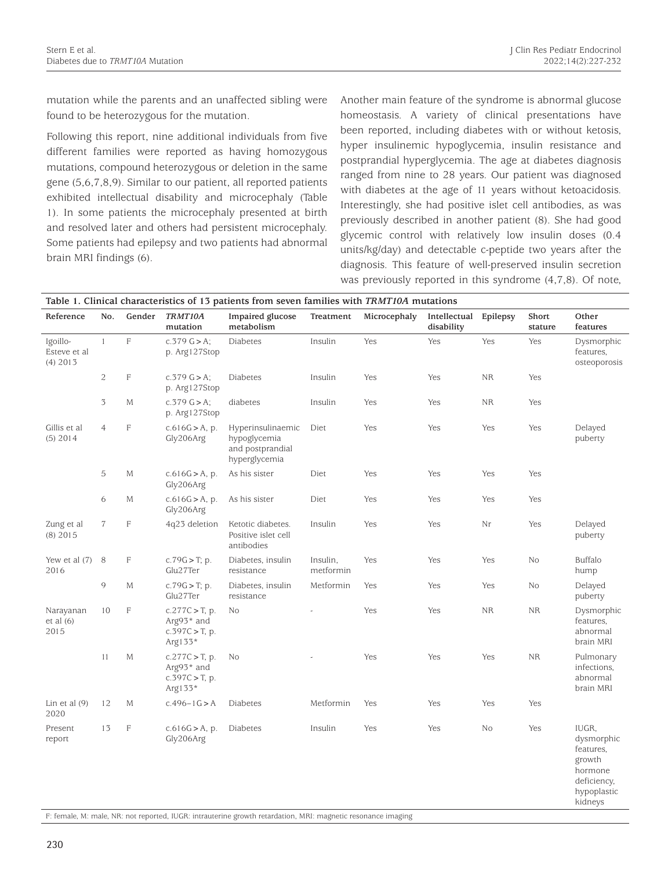mutation while the parents and an unaffected sibling were found to be heterozygous for the mutation.

Following this report, nine additional individuals from five different families were reported as having homozygous mutations, compound heterozygous or deletion in the same gene (5,6,7,8,9). Similar to our patient, all reported patients exhibited intellectual disability and microcephaly (Table 1). In some patients the microcephaly presented at birth and resolved later and others had persistent microcephaly. Some patients had epilepsy and two patients had abnormal brain MRI findings (6).

Another main feature of the syndrome is abnormal glucose homeostasis. A variety of clinical presentations have been reported, including diabetes with or without ketosis, hyper insulinemic hypoglycemia, insulin resistance and postprandial hyperglycemia. The age at diabetes diagnosis ranged from nine to 28 years. Our patient was diagnosed with diabetes at the age of 11 years without ketoacidosis. Interestingly, she had positive islet cell antibodies, as was previously described in another patient (8). She had good glycemic control with relatively low insulin doses (0.4 units/kg/day) and detectable c-peptide two years after the diagnosis. This feature of well-preserved insulin secretion was previously reported in this syndrome (4,7,8). Of note,

| Table 1. Clinical characteristics of 13 patients from seven families with TRMT10A mutations |                |                           |                                                                 |                                                                        |                       |              |                            |           |                  |                                                                                                |
|---------------------------------------------------------------------------------------------|----------------|---------------------------|-----------------------------------------------------------------|------------------------------------------------------------------------|-----------------------|--------------|----------------------------|-----------|------------------|------------------------------------------------------------------------------------------------|
| Reference                                                                                   | No.            | Gender                    | TRMT10A<br>mutation                                             | Impaired glucose<br>metabolism                                         | Treatment             | Microcephaly | Intellectual<br>disability | Epilepsy  | Short<br>stature | Other<br>features                                                                              |
| Igoillo-<br>Esteve et al<br>$(4)$ 2013                                                      | $\mathbf{1}$   | $\mathbb F$               | $c.379$ G $> A$ ;<br>p. Arg127Stop                              | Diabetes                                                               | Insulin               | Yes          | Yes                        | Yes       | Yes              | Dysmorphic<br>features,<br>osteoporosis                                                        |
|                                                                                             | $\mathbf{2}$   | $\mathbb F$               | $c.379$ G $> A$ ;<br>p. Arg127Stop                              | Diabetes                                                               | Insulin               | Yes          | Yes                        | <b>NR</b> | Yes              |                                                                                                |
|                                                                                             | $\mathfrak I$  | М                         | $c.379$ G $> A$ ;<br>p. Arg127Stop                              | diabetes                                                               | Insulin               | Yes          | Yes                        | <b>NR</b> | Yes              |                                                                                                |
| Gillis et al<br>$(5)$ 2014                                                                  | $\overline{4}$ | F                         | c.616G > A, p.<br>Gly206Arg                                     | Hyperinsulinaemic<br>hypoglycemia<br>and postprandial<br>hyperglycemia | Diet                  | Yes          | Yes                        | Yes       | Yes              | Delayed<br>puberty                                                                             |
|                                                                                             | 5              | М                         | c.616G > A, p.<br>Gly206Arg                                     | As his sister                                                          | Diet                  | Yes          | Yes                        | Yes       | Yes              |                                                                                                |
|                                                                                             | 6              | М                         | c.616G > A, p.<br>Gly206Arg                                     | As his sister                                                          | Diet                  | Yes          | Yes                        | Yes       | Yes              |                                                                                                |
| Zung et al<br>$(8)$ 2015                                                                    | $\overline{7}$ | F                         | 4q23 deletion                                                   | Ketotic diabetes.<br>Positive islet cell<br>antibodies                 | Insulin               | Yes          | Yes                        | Nr        | Yes              | Delayed<br>puberty                                                                             |
| Yew et al (7)<br>2016                                                                       | $\,8\,$        | F                         | $c.79G > T$ ; p.<br>Glu27Ter                                    | Diabetes, insulin<br>resistance                                        | Insulin,<br>metformin | Yes          | Yes                        | Yes       | No               | Buffalo<br>hump                                                                                |
|                                                                                             | 9              | М                         | $c.79G > T$ ; p.<br>Glu27Ter                                    | Diabetes, insulin<br>resistance                                        | Metformin             | Yes          | Yes                        | Yes       | No               | Delayed<br>puberty                                                                             |
| Narayanan<br>et al (6)<br>2015                                                              | 10             | F                         | $c.277C > T$ , p.<br>Arg93* and<br>$c.397C > T$ , p.<br>Arg133* | N <sub>o</sub>                                                         |                       | Yes          | Yes                        | <b>NR</b> | <b>NR</b>        | Dysmorphic<br>features,<br>abnormal<br>brain MRI                                               |
|                                                                                             | 11             | M                         | $c.277C > T$ , p.<br>Arg93* and<br>$c.397C > T$ , p.<br>Arg133* | No                                                                     |                       | Yes          | Yes                        | Yes       | <b>NR</b>        | Pulmonary<br>infections.<br>abnormal<br>brain MRI                                              |
| Lin et al $(9)$<br>2020                                                                     | 12             | М                         | $c.496 - 1G > A$                                                | Diabetes                                                               | Metformin             | Yes          | Yes                        | Yes       | Yes              |                                                                                                |
| Present<br>report                                                                           | 13             | $\boldsymbol{\mathrm{F}}$ | c.616G > A, p.<br>Gly206Arg                                     | Diabetes                                                               | Insulin               | Yes          | Yes                        | No        | Yes              | IUGR.<br>dysmorphic<br>features,<br>growth<br>hormone<br>deficiency,<br>hypoplastic<br>kidneys |

F: female, M: male, NR: not reported, IUGR: intrauterine growth retardation, MRI: magnetic resonance imaging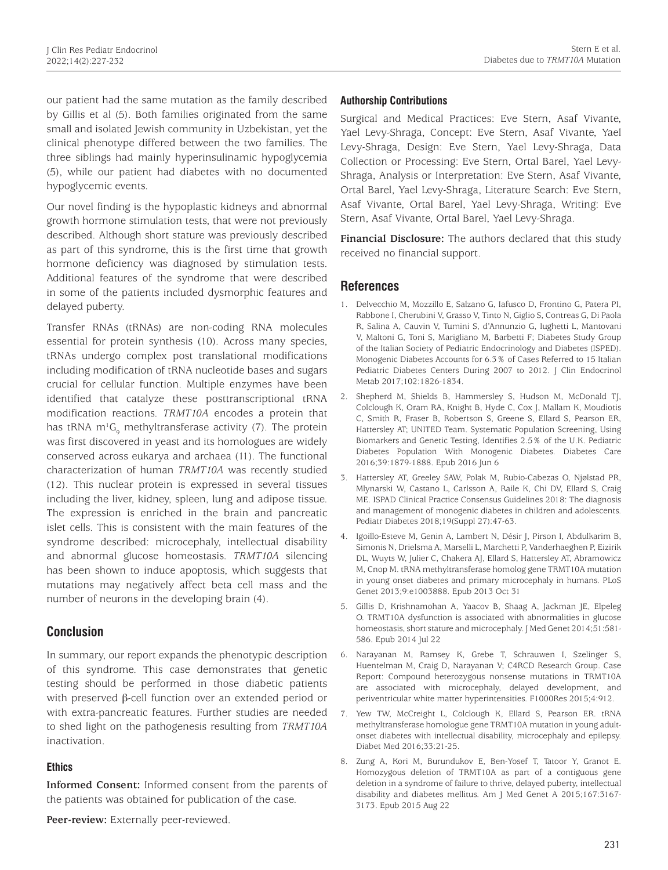our patient had the same mutation as the family described by Gillis et al (5). Both families originated from the same small and isolated Jewish community in Uzbekistan, yet the clinical phenotype differed between the two families. The three siblings had mainly hyperinsulinamic hypoglycemia (5), while our patient had diabetes with no documented hypoglycemic events.

Our novel finding is the hypoplastic kidneys and abnormal growth hormone stimulation tests, that were not previously described. Although short stature was previously described as part of this syndrome, this is the first time that growth hormone deficiency was diagnosed by stimulation tests. Additional features of the syndrome that were described in some of the patients included dysmorphic features and delayed puberty.

Transfer RNAs (tRNAs) are non-coding RNA molecules essential for protein synthesis (10). Across many species, tRNAs undergo complex post translational modifications including modification of tRNA nucleotide bases and sugars crucial for cellular function. Multiple enzymes have been identified that catalyze these posttranscriptional tRNA modification reactions. *TRMT10A* encodes a protein that has tRNA m<sup>1</sup>G<sub>9</sub> methyltransferase activity (7). The protein was first discovered in yeast and its homologues are widely conserved across eukarya and archaea (11). The functional characterization of human *TRMT10A* was recently studied (12). This nuclear protein is expressed in several tissues including the liver, kidney, spleen, lung and adipose tissue. The expression is enriched in the brain and pancreatic islet cells. This is consistent with the main features of the syndrome described: microcephaly, intellectual disability and abnormal glucose homeostasis. *TRMT10A* silencing has been shown to induce apoptosis, which suggests that mutations may negatively affect beta cell mass and the number of neurons in the developing brain (4).

# **Conclusion**

In summary, our report expands the phenotypic description of this syndrome. This case demonstrates that genetic testing should be performed in those diabetic patients with preserved β-cell function over an extended period or with extra-pancreatic features. Further studies are needed to shed light on the pathogenesis resulting from *TRMT10A* inactivation.

#### **Ethics**

**Informed Consent:** Informed consent from the parents of the patients was obtained for publication of the case.

**Peer-review:** Externally peer-reviewed.

#### **Authorship Contributions**

Surgical and Medical Practices: Eve Stern, Asaf Vivante, Yael Levy-Shraga, Concept: Eve Stern, Asaf Vivante, Yael Levy-Shraga, Design: Eve Stern, Yael Levy-Shraga, Data Collection or Processing: Eve Stern, Ortal Barel, Yael Levy-Shraga, Analysis or Interpretation: Eve Stern, Asaf Vivante, Ortal Barel, Yael Levy-Shraga, Literature Search: Eve Stern, Asaf Vivante, Ortal Barel, Yael Levy-Shraga, Writing: Eve Stern, Asaf Vivante, Ortal Barel, Yael Levy-Shraga.

**Financial Disclosure:** The authors declared that this study received no financial support.

# **References**

- 1. Delvecchio M, Mozzillo E, Salzano G, Iafusco D, Frontino G, Patera PI, Rabbone I, Cherubini V, Grasso V, Tinto N, Giglio S, Contreas G, Di Paola R, Salina A, Cauvin V, Tumini S, d'Annunzio G, Iughetti L, Mantovani V, Maltoni G, Toni S, Marigliano M, Barbetti F; Diabetes Study Group of the Italian Society of Pediatric Endocrinology and Diabetes (ISPED). Monogenic Diabetes Accounts for 6.3% of Cases Referred to 15 Italian Pediatric Diabetes Centers During 2007 to 2012. J Clin Endocrinol Metab 2017;102:1826-1834.
- 2. Shepherd M, Shields B, Hammersley S, Hudson M, McDonald TJ, Colclough K, Oram RA, Knight B, Hyde C, Cox J, Mallam K, Moudiotis C, Smith R, Fraser B, Robertson S, Greene S, Ellard S, Pearson ER, Hattersley AT; UNITED Team. Systematic Population Screening, Using Biomarkers and Genetic Testing, Identifies 2.5% of the U.K. Pediatric Diabetes Population With Monogenic Diabetes. Diabetes Care 2016;39:1879-1888. Epub 2016 Jun 6
- 3. Hattersley AT, Greeley SAW, Polak M, Rubio-Cabezas O, Njølstad PR, Mlynarski W, Castano L, Carlsson A, Raile K, Chi DV, Ellard S, Craig ME. ISPAD Clinical Practice Consensus Guidelines 2018: The diagnosis and management of monogenic diabetes in children and adolescents. Pediatr Diabetes 2018;19(Suppl 27):47-63.
- 4. Igoillo-Esteve M, Genin A, Lambert N, Désir J, Pirson I, Abdulkarim B, Simonis N, Drielsma A, Marselli L, Marchetti P, Vanderhaeghen P, Eizirik DL, Wuyts W, Julier C, Chakera AJ, Ellard S, Hattersley AT, Abramowicz M, Cnop M. tRNA methyltransferase homolog gene TRMT10A mutation in young onset diabetes and primary microcephaly in humans. PLoS Genet 2013;9:e1003888. Epub 2013 Oct 31
- 5. Gillis D, Krishnamohan A, Yaacov B, Shaag A, Jackman JE, Elpeleg O. TRMT10A dysfunction is associated with abnormalities in glucose homeostasis, short stature and microcephaly. J Med Genet 2014;51:581- 586. Epub 2014 Jul 22
- 6. Narayanan M, Ramsey K, Grebe T, Schrauwen I, Szelinger S, Huentelman M, Craig D, Narayanan V; C4RCD Research Group. Case Report: Compound heterozygous nonsense mutations in TRMT10A are associated with microcephaly, delayed development, and periventricular white matter hyperintensities. F1000Res 2015;4:912.
- 7. Yew TW, McCreight L, Colclough K, Ellard S, Pearson ER. tRNA methyltransferase homologue gene TRMT10A mutation in young adultonset diabetes with intellectual disability, microcephaly and epilepsy. Diabet Med 2016;33:21-25.
- 8. Zung A, Kori M, Burundukov E, Ben-Yosef T, Tatoor Y, Granot E. Homozygous deletion of TRMT10A as part of a contiguous gene deletion in a syndrome of failure to thrive, delayed puberty, intellectual disability and diabetes mellitus. Am J Med Genet A 2015;167:3167- 3173. Epub 2015 Aug 22